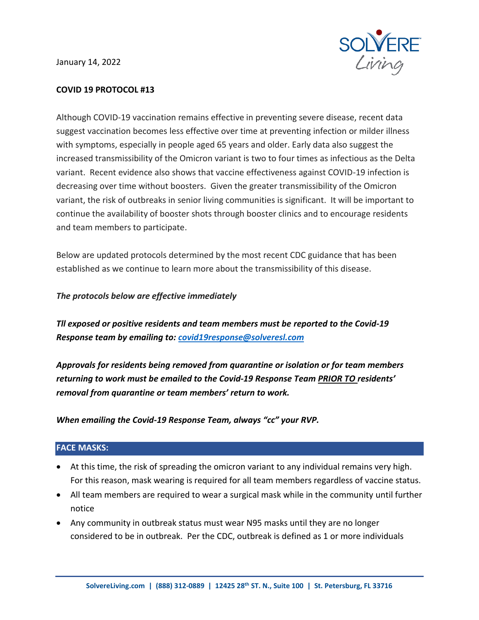January 14, 2022



# **COVID 19 PROTOCOL #13**

Although COVID-19 vaccination remains effective in preventing severe disease, recent data suggest vaccination becomes less effective over time at preventing infection or milder illness with symptoms, especially in people aged 65 years and older. Early data also suggest the increased transmissibility of the Omicron variant is two to four times as infectious as the Delta variant. Recent evidence also shows that vaccine effectiveness against COVID-19 infection is decreasing over time without boosters. Given the greater transmissibility of the Omicron variant, the risk of outbreaks in senior living communities is significant. It will be important to continue the availability of booster shots through booster clinics and to encourage residents and team members to participate.

Below are updated protocols determined by the most recent CDC guidance that has been established as we continue to learn more about the transmissibility of this disease.

# *The protocols below are effective immediately*

*Tll exposed or positive residents and team members must be reported to the Covid-19 Response team by emailing to[: covid19response@solveresl.com](mailto:covid19response@solveresl.com)*

*Approvals for residents being removed from quarantine or isolation or for team members returning to work must be emailed to the Covid-19 Response Team PRIOR TO residents' removal from quarantine or team members' return to work.*

*When emailing the Covid-19 Response Team, always "cc" your RVP.*

# **FACE MASKS:**

- At this time, the risk of spreading the omicron variant to any individual remains very high. For this reason, mask wearing is required for all team members regardless of vaccine status.
- All team members are required to wear a surgical mask while in the community until further notice
- Any community in outbreak status must wear N95 masks until they are no longer considered to be in outbreak. Per the CDC, outbreak is defined as 1 or more individuals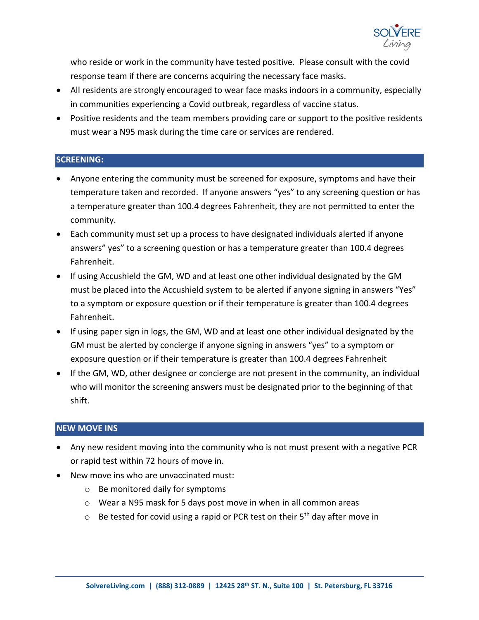

who reside or work in the community have tested positive. Please consult with the covid response team if there are concerns acquiring the necessary face masks.

- All residents are strongly encouraged to wear face masks indoors in a community, especially in communities experiencing a Covid outbreak, regardless of vaccine status.
- Positive residents and the team members providing care or support to the positive residents must wear a N95 mask during the time care or services are rendered.

# **SCREENING:**

- Anyone entering the community must be screened for exposure, symptoms and have their temperature taken and recorded. If anyone answers "yes" to any screening question or has a temperature greater than 100.4 degrees Fahrenheit, they are not permitted to enter the community.
- Each community must set up a process to have designated individuals alerted if anyone answers" yes" to a screening question or has a temperature greater than 100.4 degrees Fahrenheit.
- If using Accushield the GM, WD and at least one other individual designated by the GM must be placed into the Accushield system to be alerted if anyone signing in answers "Yes" to a symptom or exposure question or if their temperature is greater than 100.4 degrees Fahrenheit.
- If using paper sign in logs, the GM, WD and at least one other individual designated by the GM must be alerted by concierge if anyone signing in answers "yes" to a symptom or exposure question or if their temperature is greater than 100.4 degrees Fahrenheit
- If the GM, WD, other designee or concierge are not present in the community, an individual who will monitor the screening answers must be designated prior to the beginning of that shift.

# **NEW MOVE INS**

- Any new resident moving into the community who is not must present with a negative PCR or rapid test within 72 hours of move in.
- New move ins who are unvaccinated must:
	- o Be monitored daily for symptoms
	- o Wear a N95 mask for 5 days post move in when in all common areas
	- $\circ$  Be tested for covid using a rapid or PCR test on their  $5<sup>th</sup>$  day after move in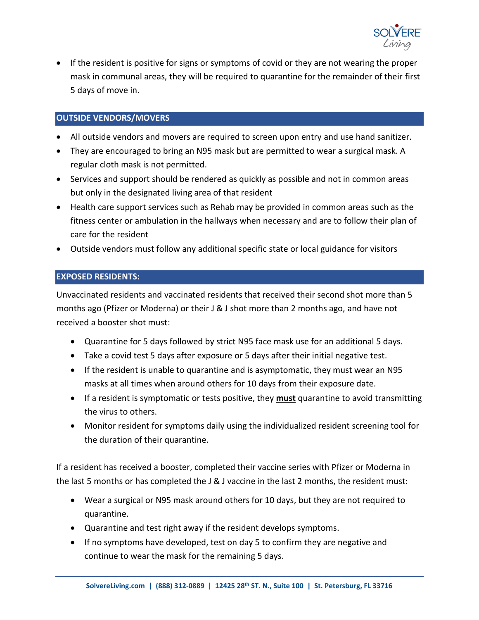

• If the resident is positive for signs or symptoms of covid or they are not wearing the proper mask in communal areas, they will be required to quarantine for the remainder of their first 5 days of move in.

# **OUTSIDE VENDORS/MOVERS**

- All outside vendors and movers are required to screen upon entry and use hand sanitizer.
- They are encouraged to bring an N95 mask but are permitted to wear a surgical mask. A regular cloth mask is not permitted.
- Services and support should be rendered as quickly as possible and not in common areas but only in the designated living area of that resident
- Health care support services such as Rehab may be provided in common areas such as the fitness center or ambulation in the hallways when necessary and are to follow their plan of care for the resident
- Outside vendors must follow any additional specific state or local guidance for visitors

# **EXPOSED RESIDENTS:**

Unvaccinated residents and vaccinated residents that received their second shot more than 5 months ago (Pfizer or Moderna) or their J & J shot more than 2 months ago, and have not received a booster shot must:

- Quarantine for 5 days followed by strict N95 face mask use for an additional 5 days.
- Take a covid test 5 days after exposure or 5 days after their initial negative test.
- If the resident is unable to quarantine and is asymptomatic, they must wear an N95 masks at all times when around others for 10 days from their exposure date.
- If a resident is symptomatic or tests positive, they **must** quarantine to avoid transmitting the virus to others.
- Monitor resident for symptoms daily using the individualized resident screening tool for the duration of their quarantine.

If a resident has received a booster, completed their vaccine series with Pfizer or Moderna in the last 5 months or has completed the J & J vaccine in the last 2 months, the resident must:

- Wear a surgical or N95 mask around others for 10 days, but they are not required to quarantine.
- Quarantine and test right away if the resident develops symptoms.
- If no symptoms have developed, test on day 5 to confirm they are negative and continue to wear the mask for the remaining 5 days.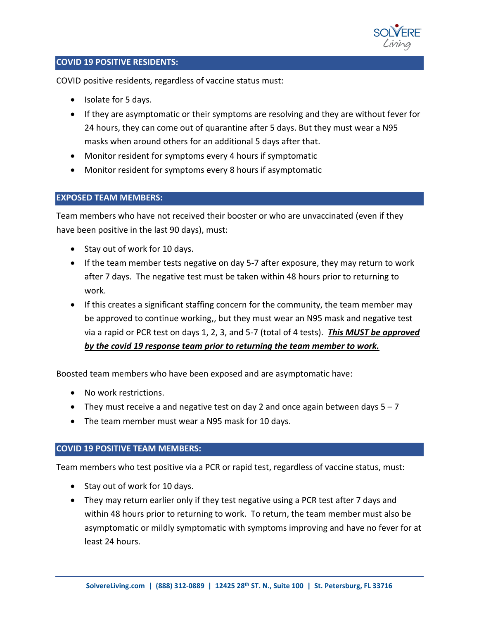

# **COVID 19 POSITIVE RESIDENTS:**

COVID positive residents, regardless of vaccine status must:

- Isolate for 5 days.
- If they are asymptomatic or their symptoms are resolving and they are without fever for 24 hours, they can come out of quarantine after 5 days. But they must wear a N95 masks when around others for an additional 5 days after that.
- Monitor resident for symptoms every 4 hours if symptomatic
- Monitor resident for symptoms every 8 hours if asymptomatic

### **EXPOSED TEAM MEMBERS:**

Team members who have not received their booster or who are unvaccinated (even if they have been positive in the last 90 days), must:

- Stay out of work for 10 days.
- If the team member tests negative on day 5-7 after exposure, they may return to work after 7 days. The negative test must be taken within 48 hours prior to returning to work.
- If this creates a significant staffing concern for the community, the team member may be approved to continue working,, but they must wear an N95 mask and negative test via a rapid or PCR test on days 1, 2, 3, and 5-7 (total of 4 tests). *This MUST be approved by the covid 19 response team prior to returning the team member to work.*

Boosted team members who have been exposed and are asymptomatic have:

- No work restrictions.
- They must receive a and negative test on day 2 and once again between days  $5 7$
- The team member must wear a N95 mask for 10 days.

#### **COVID 19 POSITIVE TEAM MEMBERS:**

Team members who test positive via a PCR or rapid test, regardless of vaccine status, must:

- Stay out of work for 10 days.
- They may return earlier only if they test negative using a PCR test after 7 days and within 48 hours prior to returning to work. To return, the team member must also be asymptomatic or mildly symptomatic with symptoms improving and have no fever for at least 24 hours.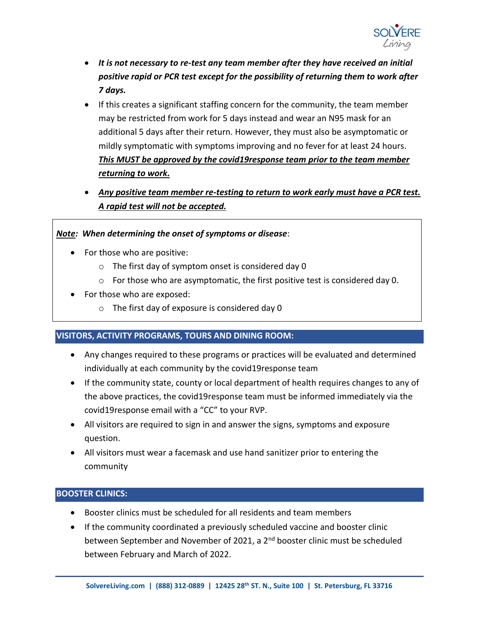

- *It is not necessary to re-test any team member after they have received an initial positive rapid or PCR test except for the possibility of returning them to work after 7 days.*
- If this creates a significant staffing concern for the community, the team member may be restricted from work for 5 days instead and wear an N95 mask for an additional 5 days after their return. However, they must also be asymptomatic or mildly symptomatic with symptoms improving and no fever for at least 24 hours. *This MUST be approved by the covid19response team prior to the team member returning to work.*
- *Any positive team member re-testing to return to work early must have a PCR test. A rapid test will not be accepted.*

# *Note: When determining the onset of symptoms or disease*:

- For those who are positive:
	- o The first day of symptom onset is considered day 0
	- o For those who are asymptomatic, the first positive test is considered day 0.
- For those who are exposed:
	- $\circ$  The first day of exposure is considered day 0

# **VISITORS, ACTIVITY PROGRAMS, TOURS AND DINING ROOM:**

- Any changes required to these programs or practices will be evaluated and determined individually at each community by the covid19response team
- If the community state, county or local department of health requires changes to any of the above practices, the covid19response team must be informed immediately via the covid19response email with a "CC" to your RVP.
- All visitors are required to sign in and answer the signs, symptoms and exposure question.
- All visitors must wear a facemask and use hand sanitizer prior to entering the community

# **BOOSTER CLINICS:**

- Booster clinics must be scheduled for all residents and team members
- If the community coordinated a previously scheduled vaccine and booster clinic between September and November of 2021, a 2<sup>nd</sup> booster clinic must be scheduled between February and March of 2022.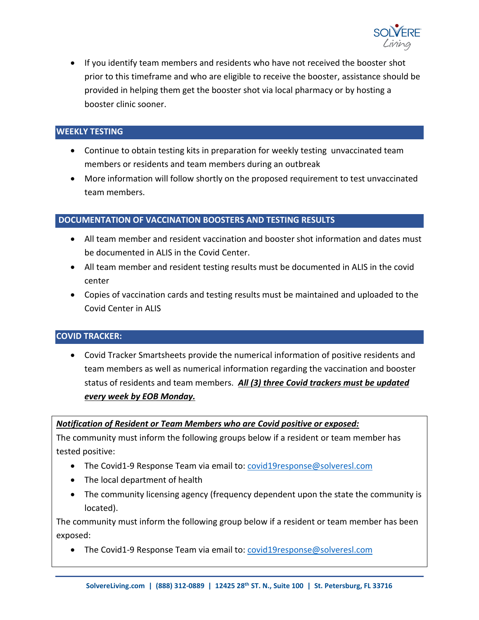

• If you identify team members and residents who have not received the booster shot prior to this timeframe and who are eligible to receive the booster, assistance should be provided in helping them get the booster shot via local pharmacy or by hosting a booster clinic sooner.

### **WEEKLY TESTING**

- Continue to obtain testing kits in preparation for weekly testing unvaccinated team members or residents and team members during an outbreak
- More information will follow shortly on the proposed requirement to test unvaccinated team members.

#### **DOCUMENTATION OF VACCINATION BOOSTERS AND TESTING RESULTS**

- All team member and resident vaccination and booster shot information and dates must be documented in ALIS in the Covid Center.
- All team member and resident testing results must be documented in ALIS in the covid center
- Copies of vaccination cards and testing results must be maintained and uploaded to the Covid Center in ALIS

#### **COVID TRACKER:**

• Covid Tracker Smartsheets provide the numerical information of positive residents and team members as well as numerical information regarding the vaccination and booster status of residents and team members. *All (3) three Covid trackers must be updated every week by EOB Monday.*

#### *Notification of Resident or Team Members who are Covid positive or exposed:*

The community must inform the following groups below if a resident or team member has tested positive:

- The Covid1-9 Response Team via email to: [covid19response@solveresl.com](mailto:covid19response@solveresl.com)
- The local department of health
- The community licensing agency (frequency dependent upon the state the community is located).

The community must inform the following group below if a resident or team member has been exposed:

• The Covid1-9 Response Team via email to: [covid19response@solveresl.com](mailto:covid19response@solveresl.com)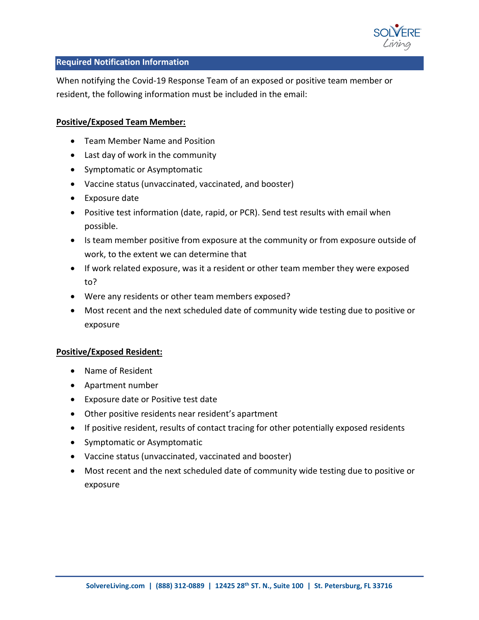

### **Required Notification Information**

When notifying the Covid-19 Response Team of an exposed or positive team member or resident, the following information must be included in the email:

### **Positive/Exposed Team Member:**

- Team Member Name and Position
- Last day of work in the community
- Symptomatic or Asymptomatic
- Vaccine status (unvaccinated, vaccinated, and booster)
- Exposure date
- Positive test information (date, rapid, or PCR). Send test results with email when possible.
- Is team member positive from exposure at the community or from exposure outside of work, to the extent we can determine that
- If work related exposure, was it a resident or other team member they were exposed to?
- Were any residents or other team members exposed?
- Most recent and the next scheduled date of community wide testing due to positive or exposure

# **Positive/Exposed Resident:**

- Name of Resident
- Apartment number
- Exposure date or Positive test date
- Other positive residents near resident's apartment
- If positive resident, results of contact tracing for other potentially exposed residents
- Symptomatic or Asymptomatic
- Vaccine status (unvaccinated, vaccinated and booster)
- Most recent and the next scheduled date of community wide testing due to positive or exposure